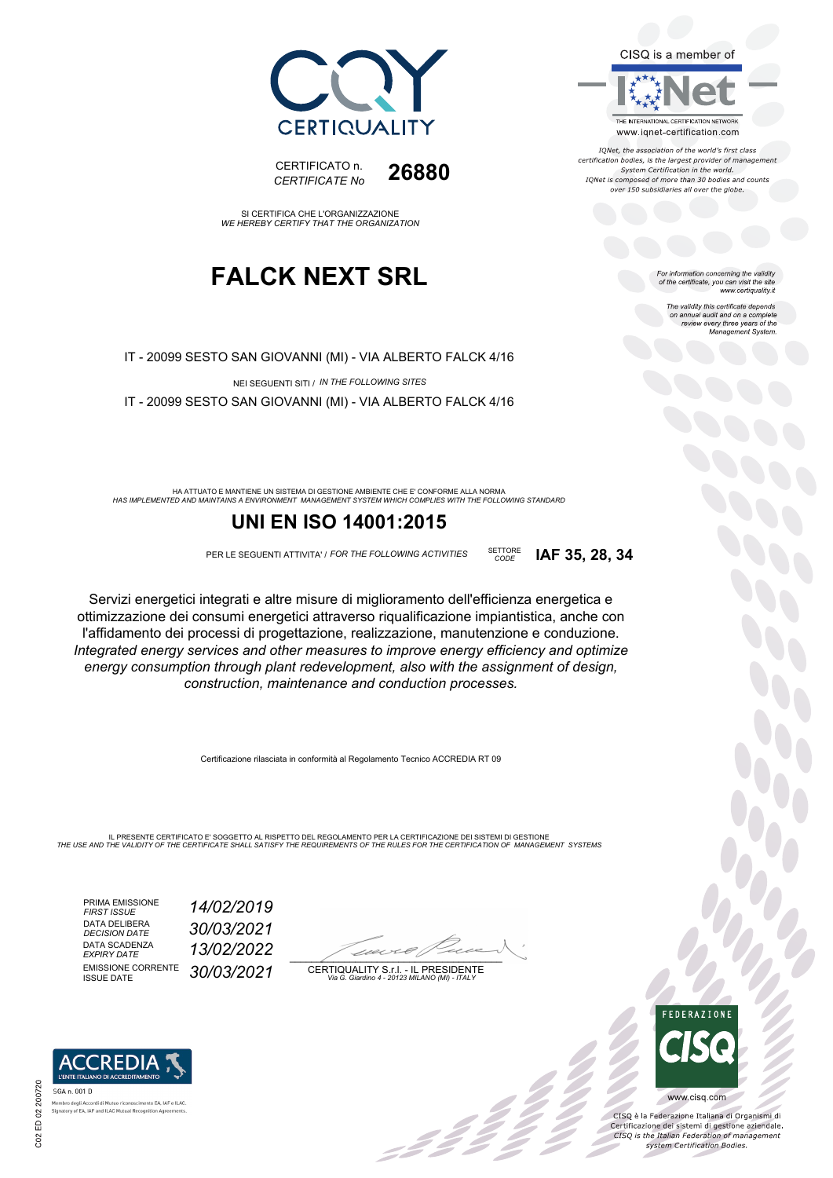CISQ is a member of



IONet, the association of the world's first class certification bodies, is the largest provider of management<br>System Certification in the world. IQNet is composed of more than 30 bodies and counts over 150 subsidiaries all over the globe.

*CODE* **IAF 35, 28, 34**

For information concerning the validity<br>of the certificate, you can visit the site<br>www.certiquality.it

The validity this certificate depends on annual audit and on a complete review every three years of the Management System.





SI CERTIFICA CHE L'ORGANIZZAZIONE *WE HEREBY CERTIFY THAT THE ORGANIZATION*

### **FALCK NEXT SRL**

IT - 20099 SESTO SAN GIOVANNI (MI) - VIA ALBERTO FALCK 4/16

NEI SEGUENTI SITI / *IN THE FOLLOWING SITES*

IT - 20099 SESTO SAN GIOVANNI (MI) - VIA ALBERTO FALCK 4/16

HA ATTUATO E MANTIENE UN SISTEMA DI GESTIONE AMBIENTE CHE E' CONFORME ALLA NORMA<br>HAS IMPLEMENTED AND MAINTAINS A ENVIRONMENT MANAGEMENT SYSTEM WHICH COMPLIES WITH THE FOLLOWING STANDARD

### **UNI EN ISO 14001:2015**

PER LE SEGUENTI ATTIVITA' / *FOR THE FOLLOWING ACTIVITIES* SETTORE

Servizi energetici integrati e altre misure di miglioramento dell'efficienza energetica e ottimizzazione dei consumi energetici attraverso riqualificazione impiantistica, anche con l'affidamento dei processi di progettazione, realizzazione, manutenzione e conduzione. *Integrated energy services and other measures to improve energy efficiency and optimize energy consumption through plant redevelopment, also with the assignment of design, construction, maintenance and conduction processes.*

Certificazione rilasciata in conformità al Regolamento Tecnico ACCREDIA RT 09

IL PRESENTE CERTIFICATO E' SOGGETTO AL RISPETTO DEL REGOLAMENTO PER LA CERTIFICAZIONE DEI SISTEMI DI GESTIONE<br>THE USE AND THE VALIDITY OF THE CERTIFICATE SHALL SATISFY THE REQUIREMENTS OF THE RULES FOR THE CERTIFICATION OF

PRIMA EMISSIONE *FIRST ISSUE 14/02/2019* DATA DELIBERA<br>DECISION DATE DATA SCADENZA<br>EXPIRY DATE EMISSIONE CORRENTE<br>ISSUE DATE

*DECISION DATE 30/03/2021 EXPIRY DATE 13/02/2022* ISSUE DATE *30/03/2021*

 $\overline{\phantom{a}}$ 

:42 p

CERTIQUALITY S.r.l. - IL PRESIDENTE *Via G. Giardino 4 - 20123 MILANO (MI) - ITALY*



b,

CISQ è la Federazione Italiana di Organismi di Certificazione dei sistemi di gestione aziendale.<br>CESQ is the Italian Federation of management system Certification Bodies.